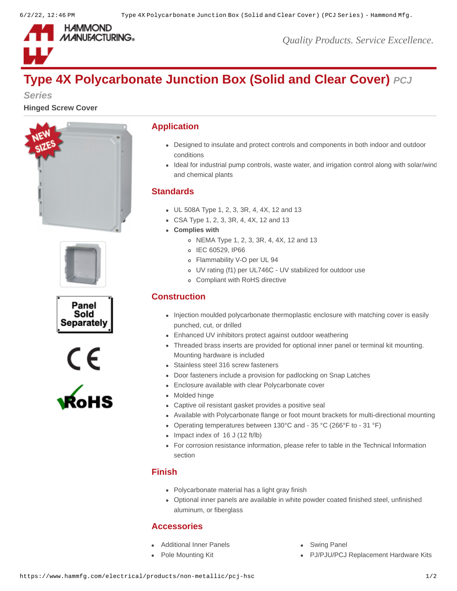

*Quality Products. Service Excellence.*

# **Type 4X Polycarbonate Junction Box (Solid and Clear Cover)** *PCJ*

*Series*

**Hinged Screw Cover**











#### **Application**

- Designed to insulate and protect controls and components in both indoor and outdoor conditions
- Ideal for industrial pump controls, waste water, and irrigation control along with solar/wind and chemical plants

#### **Standards**

- UL 508A Type 1, 2, 3, 3R, 4, 4X, 12 and 13
- CSA Type 1, 2, 3, 3R, 4, 4X, 12 and 13
- **Complies with**
	- NEMA Type 1, 2, 3, 3R, 4, 4X, 12 and 13
	- o IEC 60529, IP66
	- Flammability V-O per UL 94
	- UV rating (f1) per UL746C UV stabilized for outdoor use
	- Compliant with RoHS directive

## **Construction**

- Injection moulded polycarbonate thermoplastic enclosure with matching cover is easily punched, cut, or drilled
- Enhanced UV inhibitors protect against outdoor weathering
- Threaded brass inserts are provided for optional inner panel or terminal kit mounting. Mounting hardware is included
- Stainless steel 316 screw fasteners
- Door fasteners include a provision for padlocking on Snap Latches
- Enclosure available with clear Polycarbonate cover
- Molded hinge
- Captive oil resistant gasket provides a positive seal
- Available with Polycarbonate flange or foot mount brackets for multi-directional mounting
- Operating temperatures between  $130^{\circ}$ C and 35 °C (266°F to 31 °F)
- $\bullet$  Impact index of 16 J (12 ft/lb)
- For corrosion resistance information, please refer to table in the Technical Information section

### **Finish**

- Polycarbonate material has a light gray finish
- Optional inner panels are available in white powder coated finished steel, unfinished aluminum, or fiberglass

### **Accessories**

- [Additional Inner Panels](https://www.hammfg.com/electrical/products/accessories/pcjp?referer=805&itm_type=accessory) **[Swing Panel](https://www.hammfg.com/electrical/products/accessories/pcjsp?referer=805&itm_type=accessory)** Communicational Inner Panels
- 
- 
- [Pole Mounting Kit](https://www.hammfg.com/electrical/products/accessories/pjpmk?referer=805&itm_type=accessory) **PU/PJU/PCJ Replacement Hardware Kits**